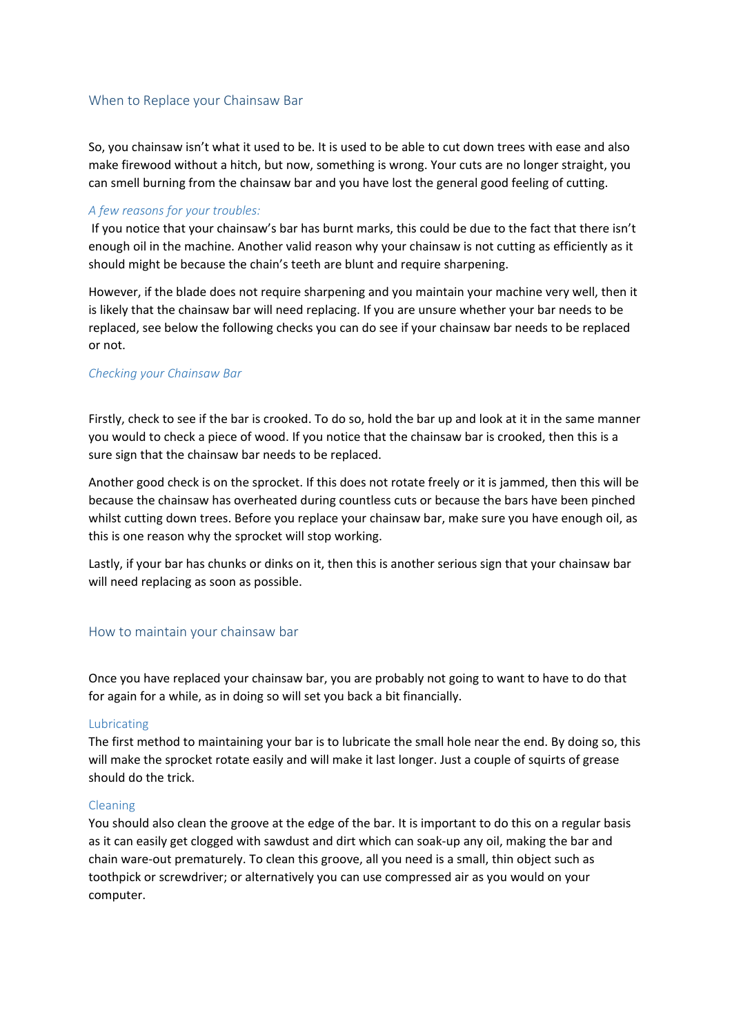# When to Replace your Chainsaw Bar

So, you chainsaw isn't what it used to be. It is used to be able to cut down trees with ease and also make firewood without a hitch, but now, something is wrong. Your cuts are no longer straight, you can smell burning from the chainsaw bar and you have lost the general good feeling of cutting.

## *A few reasons for your troubles:*

If you notice that your chainsaw's bar has burnt marks, this could be due to the fact that there isn't enough oil in the machine. Another valid reason why your chainsaw is not cutting as efficiently as it should might be because the chain's teeth are blunt and require sharpening.

However, if the blade does not require sharpening and you maintain your machine very well, then it is likely that the chainsaw bar will need replacing. If you are unsure whether your bar needs to be replaced, see below the following checks you can do see if your chainsaw bar needs to be replaced or not.

### *Checking your Chainsaw Bar*

Firstly, check to see if the bar is crooked. To do so, hold the bar up and look at it in the same manner you would to check a piece of wood. If you notice that the chainsaw bar is crooked, then this is a sure sign that the chainsaw bar needs to be replaced.

Another good check is on the sprocket. If this does not rotate freely or it is jammed, then this will be because the chainsaw has overheated during countless cuts or because the bars have been pinched whilst cutting down trees. Before you replace your chainsaw bar, make sure you have enough oil, as this is one reason why the sprocket will stop working.

Lastly, if your bar has chunks or dinks on it, then this is another serious sign that your chainsaw bar will need replacing as soon as possible.

### How to maintain your chainsaw bar

Once you have replaced your chainsaw bar, you are probably not going to want to have to do that for again for a while, as in doing so will set you back a bit financially.

#### Lubricating

The first method to maintaining your bar is to lubricate the small hole near the end. By doing so, this will make the sprocket rotate easily and will make it last longer. Just a couple of squirts of grease should do the trick.

#### Cleaning

You should also clean the groove at the edge of the bar. It is important to do this on a regular basis as it can easily get clogged with sawdust and dirt which can soak-up any oil, making the bar and chain ware-out prematurely. To clean this groove, all you need is a small, thin object such as toothpick or screwdriver; or alternatively you can use compressed air as you would on your computer.